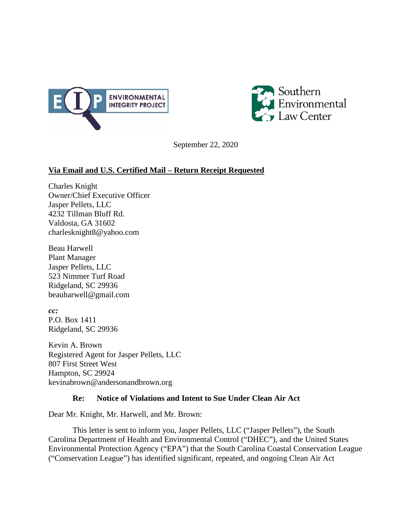



September 22, 2020

# **Via Email and U.S. Certified Mail – Return Receipt Requested**

Charles Knight Owner/Chief Executive Officer Jasper Pellets, LLC 4232 Tillman Bluff Rd. Valdosta, GA 31602 charlesknight8@yahoo.com

Beau Harwell Plant Manager Jasper Pellets, LLC 523 Nimmer Turf Road Ridgeland, SC 29936 beauharwell@gmail.com

*cc:* P.O. Box 1411 Ridgeland, SC 29936

Kevin A. Brown Registered Agent for Jasper Pellets, LLC 807 First Street West Hampton, SC 29924 kevinabrown@andersonandbrown.org

## **Re: Notice of Violations and Intent to Sue Under Clean Air Act**

Dear Mr. Knight, Mr. Harwell, and Mr. Brown:

This letter is sent to inform you, Jasper Pellets, LLC ("Jasper Pellets"), the South Carolina Department of Health and Environmental Control ("DHEC"), and the United States Environmental Protection Agency ("EPA") that the South Carolina Coastal Conservation League ("Conservation League") has identified significant, repeated, and ongoing Clean Air Act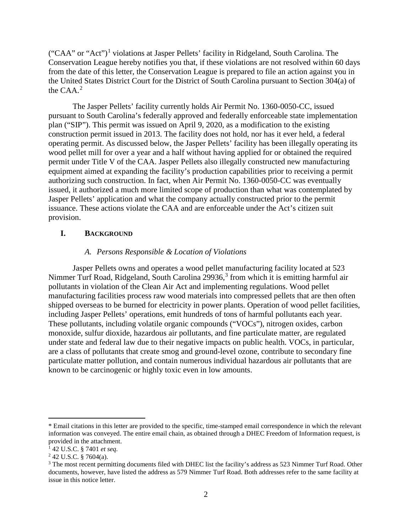$("CAA" or "Act")<sup>1</sup> violations at Jasper Pellets' facility in Ridgeland, South Carolina. The$  $("CAA" or "Act")<sup>1</sup> violations at Jasper Pellets' facility in Ridgeland, South Carolina. The$  $("CAA" or "Act")<sup>1</sup> violations at Jasper Pellets' facility in Ridgeland, South Carolina. The$ Conservation League hereby notifies you that, if these violations are not resolved within 60 days from the date of this letter, the Conservation League is prepared to file an action against you in the United States District Court for the District of South Carolina pursuant to Section 304(a) of the  $CAA<sup>2</sup>$  $CAA<sup>2</sup>$  $CAA<sup>2</sup>$ 

The Jasper Pellets' facility currently holds Air Permit No. 1360-0050-CC, issued pursuant to South Carolina's federally approved and federally enforceable state implementation plan ("SIP"). This permit was issued on April 9, 2020, as a modification to the existing construction permit issued in 2013. The facility does not hold, nor has it ever held, a federal operating permit. As discussed below, the Jasper Pellets' facility has been illegally operating its wood pellet mill for over a year and a half without having applied for or obtained the required permit under Title V of the CAA. Jasper Pellets also illegally constructed new manufacturing equipment aimed at expanding the facility's production capabilities prior to receiving a permit authorizing such construction. In fact, when Air Permit No. 1360-0050-CC was eventually issued, it authorized a much more limited scope of production than what was contemplated by Jasper Pellets' application and what the company actually constructed prior to the permit issuance. These actions violate the CAA and are enforceable under the Act's citizen suit provision.

## **I. BACKGROUND**

### *A. Persons Responsible & Location of Violations*

Jasper Pellets owns and operates a wood pellet manufacturing facility located at 523 Nimmer Turf Road, Ridgeland, South Carolina 299[3](#page-1-2)6,<sup>3</sup> from which it is emitting harmful air pollutants in violation of the Clean Air Act and implementing regulations. Wood pellet manufacturing facilities process raw wood materials into compressed pellets that are then often shipped overseas to be burned for electricity in power plants. Operation of wood pellet facilities, including Jasper Pellets' operations, emit hundreds of tons of harmful pollutants each year. These pollutants, including volatile organic compounds ("VOCs"), nitrogen oxides, carbon monoxide, sulfur dioxide, hazardous air pollutants, and fine particulate matter, are regulated under state and federal law due to their negative impacts on public health. VOCs, in particular, are a class of pollutants that create smog and ground-level ozone, contribute to secondary fine particulate matter pollution, and contain numerous individual hazardous air pollutants that are known to be carcinogenic or highly toxic even in low amounts.

l

<span id="page-1-0"></span><sup>\*</sup> Email citations in this letter are provided to the specific, time-stamped email correspondence in which the relevant information was conveyed. The entire email chain, as obtained through a DHEC Freedom of Information request, is provided in the attachment.

<sup>1</sup> 42 U.S.C. § 7401 *et seq.*

<span id="page-1-2"></span><span id="page-1-1"></span><sup>&</sup>lt;sup>2</sup> 42 U.S.C. § 7604(a).<br><sup>3</sup> The most recent permitting documents filed with DHEC list the facility's address as 523 Nimmer Turf Road. Other documents, however, have listed the address as 579 Nimmer Turf Road. Both addresses refer to the same facility at issue in this notice letter.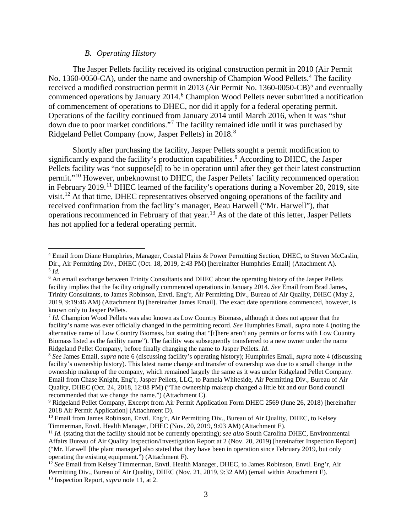### *B. Operating History*

 $\overline{a}$ 

The Jasper Pellets facility received its original construction permit in 2010 (Air Permit No. 1360-0050-CA), under the name and ownership of Champion Wood Pellets.<sup>[4](#page-2-0)</sup> The facility received a modified construction permit in 2013 (Air Permit No. 1360-00[5](#page-2-1)0-CB)<sup>5</sup> and eventually commenced operations by January 2014.<sup>[6](#page-2-2)</sup> Champion Wood Pellets never submitted a notification of commencement of operations to DHEC, nor did it apply for a federal operating permit. Operations of the facility continued from January 2014 until March 2016, when it was "shut down due to poor market conditions."[7](#page-2-3) The facility remained idle until it was purchased by Ridgeland Pellet Company (now, Jasper Pellets) in 2018.[8](#page-2-4)

Shortly after purchasing the facility, Jasper Pellets sought a permit modification to significantly expand the facility's production capabilities.<sup>[9](#page-2-5)</sup> According to DHEC, the Jasper Pellets facility was "not suppose<sup>[d]</sup> to be in operation until after they get their latest construction permit."[10](#page-2-6) However, unbeknownst to DHEC, the Jasper Pellets' facility recommenced operation in February 2019.<sup>[11](#page-2-7)</sup> DHEC learned of the facility's operations during a November 20, 2019, site visit.[12](#page-2-8) At that time, DHEC representatives observed ongoing operations of the facility and received confirmation from the facility's manager, Beau Harwell ("Mr. Harwell"), that operations recommenced in February of that year. [13](#page-2-9) As of the date of this letter, Jasper Pellets has not applied for a federal operating permit.

<span id="page-2-0"></span><sup>4</sup> Email from Diane Humphries, Manager, Coastal Plains & Power Permitting Section, DHEC, to Steven McCaslin, Dir., Air Permitting Div., DHEC (Oct. 18, 2019, 2:43 PM) [hereinafter Humphries Email] (Attachment A). <sup>5</sup> *Id.*

<span id="page-2-2"></span><span id="page-2-1"></span><sup>6</sup> An email exchange between Trinity Consultants and DHEC about the operating history of the Jasper Pellets facility implies that the facility originally commenced operations in January 2014. *See* Email from Brad James, Trinity Consultants, to James Robinson, Envtl. Eng'r, Air Permitting Div., Bureau of Air Quality, DHEC (May 2, 2019, 9:19:46 AM) (Attachment B) [hereinafter James Email]. The exact date operations commenced, however, is known only to Jasper Pellets.

<span id="page-2-3"></span><sup>7</sup> *Id.* Champion Wood Pellets was also known as Low Country Biomass, although it does not appear that the facility's name was ever officially changed in the permitting record. *See* Humphries Email, *supra* note 4 (noting the alternative name of Low Country Biomass, but stating that "[t]here aren't any permits or forms with Low Country Biomass listed as the facility name"). The facility was subsequently transferred to a new owner under the name Ridgeland Pellet Company, before finally changing the name to Jasper Pellets. *Id.*

<span id="page-2-4"></span><sup>8</sup> *See* James Email, *supra* note 6 (discussing facility's operating history); Humphries Email, *supra* note 4 (discussing facility's ownership history). This latest name change and transfer of ownership was due to a small change in the ownership makeup of the company, which remained largely the same as it was under Ridgeland Pellet Company. Email from Chase Knight, Eng'r, Jasper Pellets, LLC, to Pamela Whiteside, Air Permitting Div., Bureau of Air Quality, DHEC (Oct. 24, 2018, 12:08 PM) ("The ownership makeup changed a little bit and our Bond council recommended that we change the name.") (Attachment C).

<span id="page-2-5"></span><sup>9</sup> Ridgeland Pellet Company, Excerpt from Air Permit Application Form DHEC 2569 (June 26, 2018) [hereinafter 2018 Air Permit Application] (Attachment D).

<span id="page-2-6"></span><sup>&</sup>lt;sup>10</sup> Email from James Robinson, Envtl. Eng'r, Air Permitting Div., Bureau of Air Quality, DHEC, to Kelsey Timmerman, Envtl. Health Manager, DHEC (Nov. 20, 2019, 9:03 AM) (Attachment E).

<span id="page-2-7"></span><sup>11</sup> *Id.* (stating that the facility should not be currently operating); *see also* South Carolina DHEC, Environmental Affairs Bureau of Air Quality Inspection/Investigation Report at 2 (Nov. 20, 2019) [hereinafter Inspection Report] ("Mr. Harwell [the plant manager] also stated that they have been in operation since February 2019, but only operating the existing equipment.") (Attachment F).

<span id="page-2-9"></span><span id="page-2-8"></span><sup>12</sup> *See* Email from Kelsey Timmerman, Envtl. Health Manager, DHEC, to James Robinson, Envtl. Eng'r, Air Permitting Div., Bureau of Air Quality, DHEC (Nov. 21, 2019, 9:32 AM) (email within Attachment E). <sup>13</sup> Inspection Report, *supra* note 11, at 2.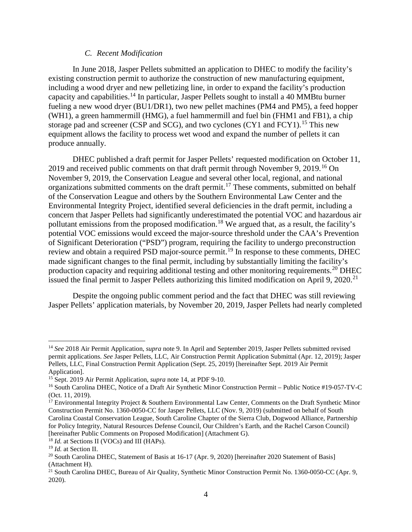### *C. Recent Modification*

In June 2018, Jasper Pellets submitted an application to DHEC to modify the facility's existing construction permit to authorize the construction of new manufacturing equipment, including a wood dryer and new pelletizing line, in order to expand the facility's production capacity and capabilities.<sup>[14](#page-3-0)</sup> In particular, Jasper Pellets sought to install a 40 MMBtu burner fueling a new wood dryer (BU1/DR1), two new pellet machines (PM4 and PM5), a feed hopper (WH1), a green hammermill (HMG), a fuel hammermill and fuel bin (FHM1 and FB1), a chip storage pad and screener (CSP and SCG), and two cyclones (CY1 and FCY1).<sup>[15](#page-3-1)</sup> This new equipment allows the facility to process wet wood and expand the number of pellets it can produce annually.

DHEC published a draft permit for Jasper Pellets' requested modification on October 11, 2019 and received public comments on that draft permit through November 9, 2019.<sup>[16](#page-3-2)</sup> On November 9, 2019, the Conservation League and several other local, regional, and national organizations submitted comments on the draft permit.<sup>[17](#page-3-3)</sup> These comments, submitted on behalf of the Conservation League and others by the Southern Environmental Law Center and the Environmental Integrity Project, identified several deficiencies in the draft permit, including a concern that Jasper Pellets had significantly underestimated the potential VOC and hazardous air pollutant emissions from the proposed modification.<sup>[18](#page-3-4)</sup> We argued that, as a result, the facility's potential VOC emissions would exceed the major-source threshold under the CAA's Prevention of Significant Deterioration ("PSD") program, requiring the facility to undergo preconstruction review and obtain a required PSD major-source permit.<sup>[19](#page-3-5)</sup> In response to these comments, DHEC made significant changes to the final permit, including by substantially limiting the facility's production capacity and requiring additional testing and other monitoring requirements.[20](#page-3-6) DHEC issued the final permit to Jasper Pellets authorizing this limited modification on April 9, 2020.<sup>[21](#page-3-7)</sup>

Despite the ongoing public comment period and the fact that DHEC was still reviewing Jasper Pellets' application materials, by November 20, 2019, Jasper Pellets had nearly completed

 $\overline{a}$ 

<span id="page-3-0"></span><sup>14</sup> *See* 2018 Air Permit Application, *supra* note 9. In April and September 2019, Jasper Pellets submitted revised permit applications. *See* Jasper Pellets, LLC, Air Construction Permit Application Submittal (Apr. 12, 2019); Jasper Pellets, LLC, Final Construction Permit Application (Sept. 25, 2019) [hereinafter Sept. 2019 Air Permit

<span id="page-3-1"></span>Application].<br><sup>15</sup> Sept. 2019 Air Permit Application, *supra* note 14, at PDF 9-10.

<span id="page-3-2"></span><sup>&</sup>lt;sup>16</sup> South Carolina DHEC, Notice of a Draft Air Synthetic Minor Construction Permit – Public Notice #19-057-TV-C (Oct. 11, 2019).

<span id="page-3-3"></span> $17$  Environmental Integrity Project & Southern Environmental Law Center, Comments on the Draft Synthetic Minor Construction Permit No. 1360-0050-CC for Jasper Pellets, LLC (Nov. 9, 2019) (submitted on behalf of South Carolina Coastal Conservation League, South Caroline Chapter of the Sierra Club, Dogwood Alliance, Partnership for Policy Integrity, Natural Resources Defense Council, Our Children's Earth, and the Rachel Carson Council) [hereinafter Public Comments on Proposed Modification] (Attachment G).

<span id="page-3-4"></span><sup>&</sup>lt;sup>18</sup> *Id.* at Sections II (VOCs) and III (HAPs).

<span id="page-3-5"></span><sup>19</sup> *Id.* at Section II.

<span id="page-3-6"></span><sup>&</sup>lt;sup>20</sup> South Carolina DHEC, Statement of Basis at  $16-17$  (Apr. 9, 2020) [hereinafter 2020 Statement of Basis] (Attachment H).

<span id="page-3-7"></span><sup>&</sup>lt;sup>21</sup> South Carolina DHEC, Bureau of Air Quality, Synthetic Minor Construction Permit No. 1360-0050-CC (Apr. 9, 2020).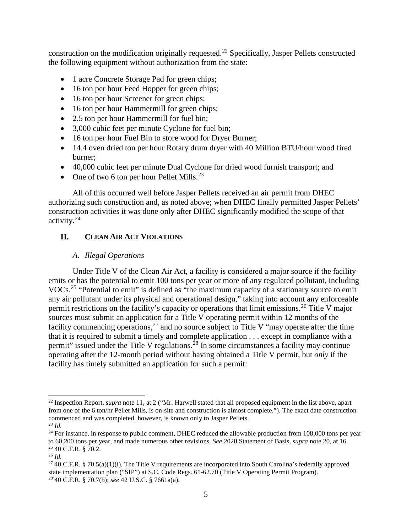construction on the modification originally requested.[22](#page-4-0) Specifically, Jasper Pellets constructed the following equipment without authorization from the state:

- 1 acre Concrete Storage Pad for green chips;
- 16 ton per hour Feed Hopper for green chips;
- 16 ton per hour Screener for green chips;
- 16 ton per hour Hammermill for green chips;
- 2.5 ton per hour Hammermill for fuel bin;
- 3,000 cubic feet per minute Cyclone for fuel bin;
- 16 ton per hour Fuel Bin to store wood for Dryer Burner;
- 14.4 oven dried ton per hour Rotary drum dryer with 40 Million BTU/hour wood fired burner;
- 40,000 cubic feet per minute Dual Cyclone for dried wood furnish transport; and
- One of two 6 ton per hour Pellet Mills.<sup>[23](#page-4-1)</sup>

All of this occurred well before Jasper Pellets received an air permit from DHEC authorizing such construction and, as noted above; when DHEC finally permitted Jasper Pellets' construction activities it was done only after DHEC significantly modified the scope of that activity.[24](#page-4-2) 

# **II. CLEAN AIR ACT VIOLATIONS**

# *A. Illegal Operations*

Under Title V of the Clean Air Act, a facility is considered a major source if the facility emits or has the potential to emit 100 tons per year or more of any regulated pollutant, including VOCs.[25](#page-4-3) "Potential to emit" is defined as "the maximum capacity of a stationary source to emit any air pollutant under its physical and operational design," taking into account any enforceable permit restrictions on the facility's capacity or operations that limit emissions.<sup>[26](#page-4-4)</sup> Title V major sources must submit an application for a Title V operating permit within 12 months of the facility commencing operations,<sup>[27](#page-4-5)</sup> and no source subject to Title V "may operate after the time that it is required to submit a timely and complete application . . . except in compliance with a permit" issued under the Title V regulations.<sup>[28](#page-4-6)</sup> In some circumstances a facility may continue operating after the 12-month period without having obtained a Title V permit, but *only* if the facility has timely submitted an application for such a permit:

 $\overline{\phantom{a}}$ 

<span id="page-4-0"></span><sup>22</sup> Inspection Report, *supra* note 11, at 2 ("Mr. Harwell stated that all proposed equipment in the list above, apart from one of the 6 ton/hr Pellet Mills, is on-site and construction is almost complete."). The exact date construction commenced and was completed, however, is known only to Jasper Pellets.

<span id="page-4-1"></span><sup>23</sup> *Id.*

<span id="page-4-2"></span> $24$  For instance, in response to public comment, DHEC reduced the allowable production from 108,000 tons per year to 60,200 tons per year, and made numerous other revisions. *See* 2020 Statement of Basis, *supra* note 20, at 16. <sup>25</sup> 40 C.F.R. § 70.2. 26 *Id.*

<span id="page-4-3"></span>

<span id="page-4-6"></span><span id="page-4-5"></span><span id="page-4-4"></span><sup>27</sup> 40 C.F.R. § 70.5(a)(1)(i)*.* The Title V requirements are incorporated into South Carolina's federally approved state implementation plan ("SIP") at S.C. Code Regs. 61-62.70 (Title V Operating Permit Program). 28 40 C.F.R. § 70.7(b); *see* 42 U.S.C. § 7661a(a).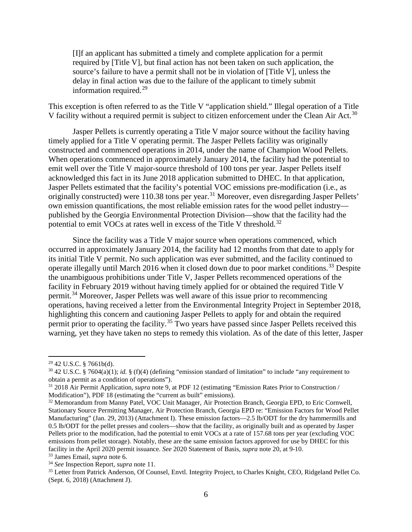[I]f an applicant has submitted a timely and complete application for a permit required by [Title V], but final action has not been taken on such application, the source's failure to have a permit shall not be in violation of [Title V], unless the delay in final action was due to the failure of the applicant to timely submit information required.<sup>[29](#page-5-0)</sup>

This exception is often referred to as the Title V "application shield." Illegal operation of a Title V facility without a required permit is subject to citizen enforcement under the Clean Air Act.<sup>[30](#page-5-1)</sup>

Jasper Pellets is currently operating a Title V major source without the facility having timely applied for a Title V operating permit. The Jasper Pellets facility was originally constructed and commenced operations in 2014, under the name of Champion Wood Pellets. When operations commenced in approximately January 2014, the facility had the potential to emit well over the Title V major-source threshold of 100 tons per year. Jasper Pellets itself acknowledged this fact in its June 2018 application submitted to DHEC. In that application, Jasper Pellets estimated that the facility's potential VOC emissions pre-modification (i.e., as originally constructed) were 110.38 tons per year.<sup>[31](#page-5-2)</sup> Moreover, even disregarding Jasper Pellets' own emission quantifications, the most reliable emission rates for the wood pellet industry published by the Georgia Environmental Protection Division—show that the facility had the potential to emit VOCs at rates well in excess of the Title V threshold.<sup>[32](#page-5-3)</sup>

Since the facility was a Title V major source when operations commenced, which occurred in approximately January 2014, the facility had 12 months from that date to apply for its initial Title V permit. No such application was ever submitted, and the facility continued to operate illegally until March 2016 when it closed down due to poor market conditions.<sup>[33](#page-5-4)</sup> Despite the unambiguous prohibitions under Title V, Jasper Pellets recommenced operations of the facility in February 2019 without having timely applied for or obtained the required Title V permit.[34](#page-5-5) Moreover, Jasper Pellets was well aware of this issue prior to recommencing operations, having received a letter from the Environmental Integrity Project in September 2018, highlighting this concern and cautioning Jasper Pellets to apply for and obtain the required permit prior to operating the facility.<sup>[35](#page-5-6)</sup> Two years have passed since Jasper Pellets received this warning, yet they have taken no steps to remedy this violation. As of the date of this letter, Jasper

l

<span id="page-5-1"></span><span id="page-5-0"></span><sup>&</sup>lt;sup>29</sup> 42 U.S.C. § 7661b(d).<br><sup>30</sup> 42 U.S.C. § 7604(a)(1); *id.* § (f)(4) (defining "emission standard of limitation" to include "any requirement to obtain a permit as a condition of operations").

<span id="page-5-2"></span><sup>&</sup>lt;sup>31</sup> 2018 Air Permit Application, *supra* note 9, at PDF 12 (estimating "Emission Rates Prior to Construction / Modification"), PDF 18 (estimating the "current as built" emissions).

<span id="page-5-3"></span><sup>&</sup>lt;sup>32</sup> Memorandum from Manny Patel, VOC Unit Manager, Air Protection Branch, Georgia EPD, to Eric Cornwell, Stationary Source Permitting Manager, Air Protection Branch, Georgia EPD re: "Emission Factors for Wood Pellet Manufacturing" (Jan. 29, 2013) (Attachment I). These emission factors—2.5 lb/ODT for the dry hammermills and 0.5 lb/ODT for the pellet presses and coolers—show that the facility, as originally built and as operated by Jasper Pellets prior to the modification, had the potential to emit VOCs at a rate of 157.68 tons per year (excluding VOC emissions from pellet storage). Notably, these are the same emission factors approved for use by DHEC for this facility in the April 2020 permit issuance. *See* 2020 Statement of Basis, *supra* note 20, at 9-10.

<span id="page-5-4"></span><sup>33</sup> James Email, *supra* note 6.

<span id="page-5-5"></span><sup>34</sup> *See* Inspection Report, *supra* note 11.

<span id="page-5-6"></span><sup>&</sup>lt;sup>35</sup> Letter from Patrick Anderson, Of Counsel, Envtl. Integrity Project, to Charles Knight, CEO, Ridgeland Pellet Co. (Sept. 6, 2018) (Attachment J).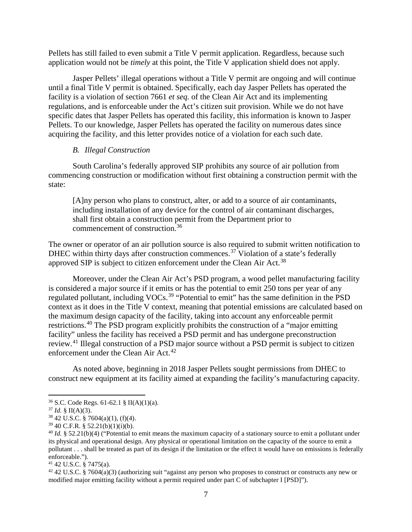Pellets has still failed to even submit a Title V permit application. Regardless, because such application would not be *timely* at this point, the Title V application shield does not apply.

Jasper Pellets' illegal operations without a Title V permit are ongoing and will continue until a final Title V permit is obtained. Specifically, each day Jasper Pellets has operated the facility is a violation of section 7661 *et seq.* of the Clean Air Act and its implementing regulations, and is enforceable under the Act's citizen suit provision. While we do not have specific dates that Jasper Pellets has operated this facility, this information is known to Jasper Pellets. To our knowledge, Jasper Pellets has operated the facility on numerous dates since acquiring the facility, and this letter provides notice of a violation for each such date.

### *B. Illegal Construction*

South Carolina's federally approved SIP prohibits any source of air pollution from commencing construction or modification without first obtaining a construction permit with the state:

[A]ny person who plans to construct, alter, or add to a source of air contaminants, including installation of any device for the control of air contaminant discharges, shall first obtain a construction permit from the Department prior to commencement of construction.<sup>[36](#page-6-0)</sup>

The owner or operator of an air pollution source is also required to submit written notification to DHEC within thirty days after construction commences.<sup>[37](#page-6-1)</sup> Violation of a state's federally approved SIP is subject to citizen enforcement under the Clean Air Act.<sup>[38](#page-6-2)</sup>

Moreover, under the Clean Air Act's PSD program, a wood pellet manufacturing facility is considered a major source if it emits or has the potential to emit 250 tons per year of any regulated pollutant, including VOCs.[39](#page-6-3) "Potential to emit" has the same definition in the PSD context as it does in the Title V context, meaning that potential emissions are calculated based on the maximum design capacity of the facility, taking into account any enforceable permit restrictions.[40](#page-6-4) The PSD program explicitly prohibits the construction of a "major emitting facility" unless the facility has received a PSD permit and has undergone preconstruction review.[41](#page-6-5) Illegal construction of a PSD major source without a PSD permit is subject to citizen enforcement under the Clean Air Act.<sup>[42](#page-6-6)</sup>

As noted above, beginning in 2018 Jasper Pellets sought permissions from DHEC to construct new equipment at its facility aimed at expanding the facility's manufacturing capacity.

 $\overline{\phantom{a}}$ 

<span id="page-6-1"></span><span id="page-6-0"></span><sup>&</sup>lt;sup>36</sup> S.C. Code Regs. 61-62.1 § II(A)(1)(a).<br><sup>37</sup> *Id.* § II(A)(3).<br><sup>38</sup> 42 U.S.C. § 7604(a)(1), (f)(4).<br><sup>39</sup> 40 C.F.R. § 52.21(b)(1)(i)(b).

<span id="page-6-2"></span>

<span id="page-6-4"></span><span id="page-6-3"></span><sup>&</sup>lt;sup>40</sup> Id. § 52.21(b)(4) ("Potential to emit means the maximum capacity of a stationary source to emit a pollutant under its physical and operational design. Any physical or operational limitation on the capacity of the source to emit a pollutant . . . shall be treated as part of its design if the limitation or the effect it would have on emissions is federally enforceable.").<br> $41\,42\,$  U.S.C. § 7475(a).

<span id="page-6-5"></span>

<span id="page-6-6"></span> $42$  42 U.S.C. § 7604(a)(3) (authorizing suit "against any person who proposes to construct or constructs any new or modified major emitting facility without a permit required under part C of subchapter I [PSD]").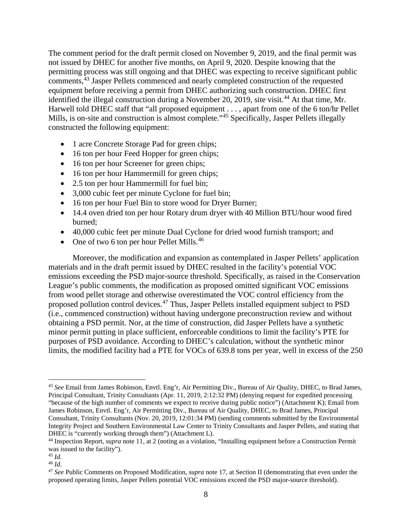The comment period for the draft permit closed on November 9, 2019, and the final permit was not issued by DHEC for another five months, on April 9, 2020. Despite knowing that the permitting process was still ongoing and that DHEC was expecting to receive significant public comments,<sup>[43](#page-7-0)</sup> Jasper Pellets commenced and nearly completed construction of the requested equipment before receiving a permit from DHEC authorizing such construction. DHEC first identified the illegal construction during a November 20, 2019, site visit.<sup>[44](#page-7-1)</sup> At that time, Mr. Harwell told DHEC staff that "all proposed equipment . . . , apart from one of the 6 ton/hr Pellet Mills, is on-site and construction is almost complete."<sup>[45](#page-7-2)</sup> Specifically, Jasper Pellets illegally constructed the following equipment:

- 1 acre Concrete Storage Pad for green chips;
- 16 ton per hour Feed Hopper for green chips;
- 16 ton per hour Screener for green chips;
- 16 ton per hour Hammermill for green chips;
- 2.5 ton per hour Hammermill for fuel bin;
- 3,000 cubic feet per minute Cyclone for fuel bin;
- 16 ton per hour Fuel Bin to store wood for Dryer Burner;
- 14.4 oven dried ton per hour Rotary drum dryer with 40 Million BTU/hour wood fired burned;
- 40,000 cubic feet per minute Dual Cyclone for dried wood furnish transport; and
- One of two 6 ton per hour Pellet Mills. $46$

Moreover, the modification and expansion as contemplated in Jasper Pellets' application materials and in the draft permit issued by DHEC resulted in the facility's potential VOC emissions exceeding the PSD major-source threshold. Specifically, as raised in the Conservation League's public comments, the modification as proposed omitted significant VOC emissions from wood pellet storage and otherwise overestimated the VOC control efficiency from the proposed pollution control devices.[47](#page-7-4) Thus, Jasper Pellets installed equipment subject to PSD (i.e., commenced construction) without having undergone preconstruction review and without obtaining a PSD permit. Nor, at the time of construction, did Jasper Pellets have a synthetic minor permit putting in place sufficient, enforceable conditions to limit the facility's PTE for purposes of PSD avoidance. According to DHEC's calculation, without the synthetic minor limits, the modified facility had a PTE for VOCs of 639.8 tons per year, well in excess of the 250

l

<span id="page-7-0"></span><sup>43</sup> *See* Email from James Robinson, Envtl. Eng'r, Air Permitting Div., Bureau of Air Quality, DHEC, to Brad James, Principal Consultant, Trinity Consultants (Apr. 11, 2019, 2:12:32 PM) (denying request for expedited processing "because of the high number of comments we expect to receive during public notice") (Attachment K); Email from James Robinson, Envtl. Eng'r, Air Permitting Div., Bureau of Air Quality, DHEC, to Brad James, Principal Consultant, Trinity Consultants (Nov. 20, 2019, 12:01:34 PM) (sending comments submitted by the Environmental Integrity Project and Southern Environmental Law Center to Trinity Consultants and Jasper Pellets, and stating that DHEC is "currently working through them") (Attachment L).

<span id="page-7-1"></span><sup>44</sup> Inspection Report, *supra* note 11, at 2 (noting as a violation, "Installing equipment before a Construction Permit was issued to the facility").

<span id="page-7-2"></span><sup>45</sup> *Id.* 

<span id="page-7-3"></span><sup>46</sup> *Id.*

<span id="page-7-4"></span><sup>47</sup> *See* Public Comments on Proposed Modification, *supra* note 17, at Section II (demonstrating that even under the proposed operating limits, Jasper Pellets potential VOC emissions exceed the PSD major-source threshold).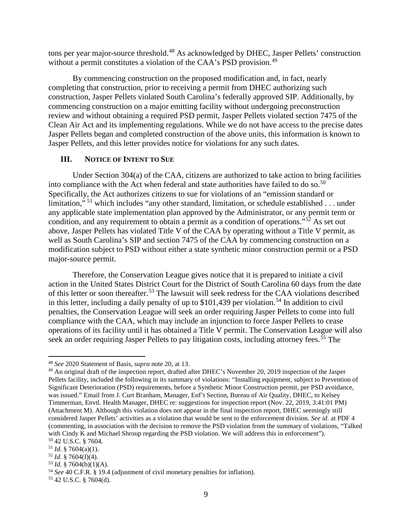tons per year major-source threshold.<sup>[48](#page-8-0)</sup> As acknowledged by DHEC, Jasper Pellets' construction without a permit constitutes a violation of the CAA's PSD provision.<sup>[49](#page-8-1)</sup>

By commencing construction on the proposed modification and, in fact, nearly completing that construction, prior to receiving a permit from DHEC authorizing such construction, Jasper Pellets violated South Carolina's federally approved SIP. Additionally, by commencing construction on a major emitting facility without undergoing preconstruction review and without obtaining a required PSD permit, Jasper Pellets violated section 7475 of the Clean Air Act and its implementing regulations. While we do not have access to the precise dates Jasper Pellets began and completed construction of the above units, this information is known to Jasper Pellets, and this letter provides notice for violations for any such dates.

## **III. NOTICE OF INTENT TO SUE**

Under Section 304(a) of the CAA, citizens are authorized to take action to bring facilities into compliance with the Act when federal and state authorities have failed to do so.<sup>[50](#page-8-2)</sup> Specifically, the Act authorizes citizens to sue for violations of an "emission standard or limitation,"<sup>[51](#page-8-3)</sup> which includes "any other standard, limitation, or schedule established . . . under any applicable state implementation plan approved by the Administrator, or any permit term or condition, and any requirement to obtain a permit as a condition of operations."<sup>[52](#page-8-4)</sup> As set out above, Jasper Pellets has violated Title V of the CAA by operating without a Title V permit, as well as South Carolina's SIP and section 7475 of the CAA by commencing construction on a modification subject to PSD without either a state synthetic minor construction permit or a PSD major-source permit.

Therefore, the Conservation League gives notice that it is prepared to initiate a civil action in the United States District Court for the District of South Carolina 60 days from the date of this letter or soon thereafter.[53](#page-8-5) The lawsuit will seek redress for the CAA violations described in this letter, including a daily penalty of up to \$101,439 per violation.<sup>[54](#page-8-6)</sup> In addition to civil penalties, the Conservation League will seek an order requiring Jasper Pellets to come into full compliance with the CAA, which may include an injunction to force Jasper Pellets to cease operations of its facility until it has obtained a Title V permit. The Conservation League will also seek an order requiring Jasper Pellets to pay litigation costs, including attorney fees.<sup>[55](#page-8-7)</sup> The

l

<span id="page-8-7"></span><span id="page-8-6"></span><sup>55</sup> 42 U.S.C. § 7604(d).

<span id="page-8-0"></span><sup>48</sup> *See* 2020 Statement of Basis, *supra* note 20, at 13.

<span id="page-8-1"></span><sup>49</sup> An original draft of the inspection report, drafted after DHEC's November 20, 2019 inspection of the Jasper Pellets facility, included the following in its summary of violations: "Installing equipment, subject to Prevention of Significant Deterioration (PSD) requirements, before a Synthetic Minor Construction permit, per PSD avoidance, was issued." Email from J. Curt Branham, Manager, Enf't Section, Bureau of Air Quality, DHEC, to Kelsey Timmerman, Envtl. Health Manager, DHEC re: suggestions for inspection report (Nov. 22, 2019, 3:41:01 PM) (Attachment M). Although this violation does not appear in the final inspection report, DHEC seemingly still considered Jasper Pellets' activities as a violation that would be sent to the enforcement division. *See id.* at PDF 4 (commenting, in association with the decision to remove the PSD violation from the summary of violations, "Talked with Cindy K and Michael Shroup regarding the PSD violation. We will address this in enforcement").<br><sup>50</sup> 42 U.S.C. § 7604.

<span id="page-8-5"></span>

<span id="page-8-4"></span><span id="page-8-3"></span><span id="page-8-2"></span><sup>51</sup> *Id.* § 7604(a)(1).<br><sup>52</sup> *Id.* § 7604(f)(4).<br><sup>53</sup> *Id.* § 7604(b)(1)(A).<br><sup>54</sup> *See* 40 C.F.R. § 19.4 (adjustment of civil monetary penalties for inflation).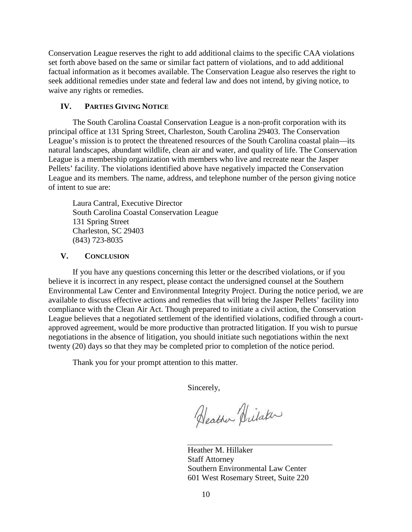Conservation League reserves the right to add additional claims to the specific CAA violations set forth above based on the same or similar fact pattern of violations, and to add additional factual information as it becomes available. The Conservation League also reserves the right to seek additional remedies under state and federal law and does not intend, by giving notice, to waive any rights or remedies.

## **IV. PARTIES GIVING NOTICE**

The South Carolina Coastal Conservation League is a non-profit corporation with its principal office at 131 Spring Street, Charleston, South Carolina 29403. The Conservation League's mission is to protect the threatened resources of the South Carolina coastal plain—its natural landscapes, abundant wildlife, clean air and water, and quality of life. The Conservation League is a membership organization with members who live and recreate near the Jasper Pellets' facility. The violations identified above have negatively impacted the Conservation League and its members. The name, address, and telephone number of the person giving notice of intent to sue are:

Laura Cantral, Executive Director South Carolina Coastal Conservation League 131 Spring Street Charleston, SC 29403 (843) 723-8035

## **V. CONCLUSION**

If you have any questions concerning this letter or the described violations, or if you believe it is incorrect in any respect, please contact the undersigned counsel at the Southern Environmental Law Center and Environmental Integrity Project. During the notice period, we are available to discuss effective actions and remedies that will bring the Jasper Pellets' facility into compliance with the Clean Air Act. Though prepared to initiate a civil action, the Conservation League believes that a negotiated settlement of the identified violations, codified through a courtapproved agreement, would be more productive than protracted litigation. If you wish to pursue negotiations in the absence of litigation, you should initiate such negotiations within the next twenty (20) days so that they may be completed prior to completion of the notice period.

Thank you for your prompt attention to this matter.

Sincerely,

Heather Hilaker

Heather M. Hillaker Staff Attorney Southern Environmental Law Center 601 West Rosemary Street, Suite 220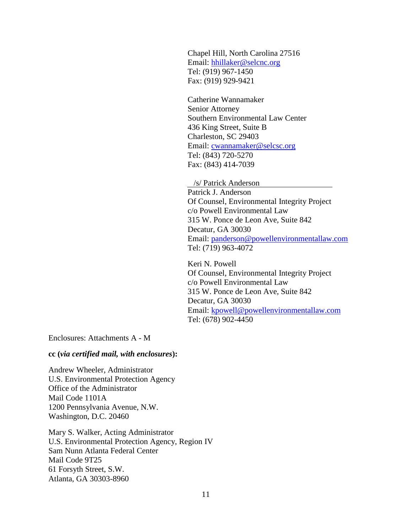Chapel Hill, North Carolina 27516 Email: [hhillaker@selcnc.org](mailto:hhillaker@selcnc.org) Tel: (919) 967-1450 Fax: (919) 929-9421

Catherine Wannamaker Senior Attorney Southern Environmental Law Center 436 King Street, Suite B Charleston, SC 29403 Email: [cwannamaker@selcsc.org](mailto:cwannamaker@selcsc.org) Tel: (843) 720-5270 Fax: (843) 414-7039

/s/ Patrick Anderson

Patrick J. Anderson Of Counsel, Environmental Integrity Project c/o Powell Environmental Law 315 W. Ponce de Leon Ave, Suite 842 Decatur, GA 30030 Email: [panderson@powellenvironmentallaw.com](mailto:panderson@powellenvironmentallaw.com) Tel: (719) 963-4072

Keri N. Powell Of Counsel, Environmental Integrity Project c/o Powell Environmental Law 315 W. Ponce de Leon Ave, Suite 842 Decatur, GA 30030 Email: [kpowell@powellenvironmentallaw.com](mailto:kpowell@powellenvironmentallaw.com) Tel: (678) 902-4450

Enclosures: Attachments A - M

### **cc (***via certified mail, with enclosures***):**

Andrew Wheeler, Administrator U.S. Environmental Protection Agency Office of the Administrator Mail Code 1101A 1200 Pennsylvania Avenue, N.W. Washington, D.C. 20460

Mary S. Walker, Acting Administrator U.S. Environmental Protection Agency, Region IV Sam Nunn Atlanta Federal Center Mail Code 9T25 61 Forsyth Street, S.W. Atlanta, GA 30303-8960